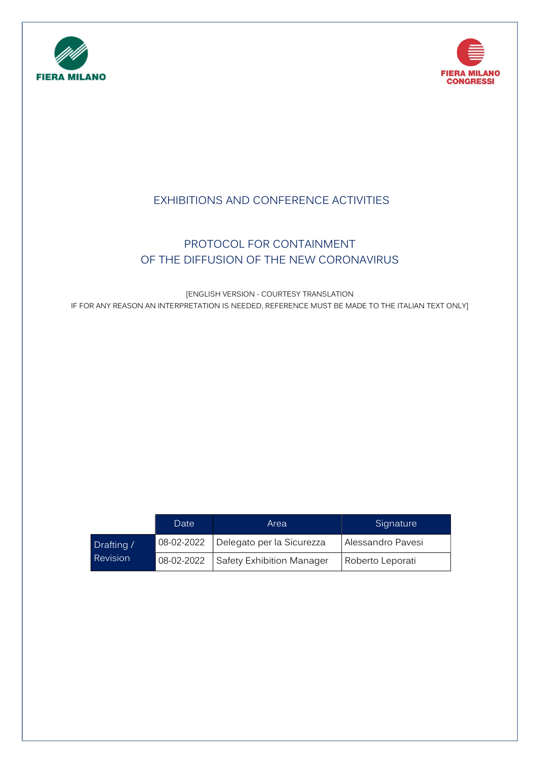



# EXHIBITIONS AND CONFERENCE ACTIVITIES

# PROTOCOL FOR CONTAINMENT OF THE DIFFUSION OF THE NEW CORONAVIRUS

[ENGLISH VERSION - COURTESY TRANSLATION IF FOR ANY REASON AN INTERPRETATION IS NEEDED, REFERENCE MUST BE MADE TO THE ITALIAN TEXT ONLY]

|                 | Date       | Area                                   | Signature         |
|-----------------|------------|----------------------------------------|-------------------|
| Drafting /      | 08-02-2022 | Delegato per la Sicurezza              | Alessandro Pavesi |
| <b>Revision</b> |            | 08-02-2022   Safety Exhibition Manager | Roberto Leporati  |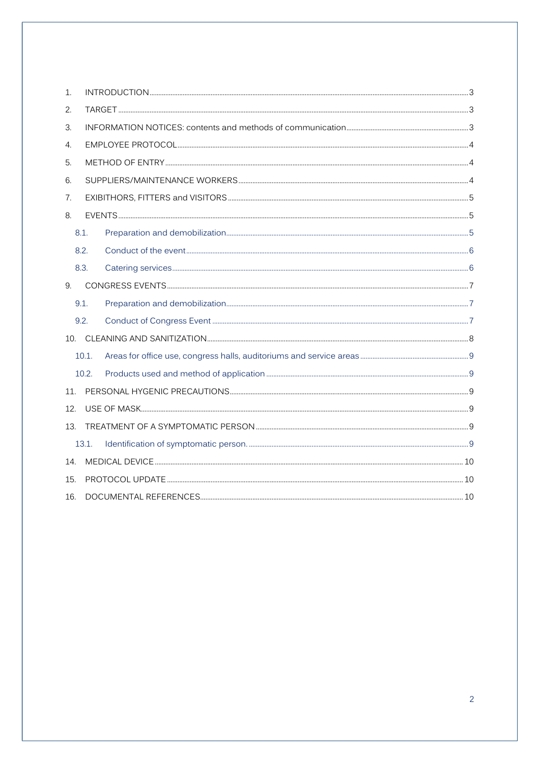| 1.  |       |  |  |  |
|-----|-------|--|--|--|
| 2.  |       |  |  |  |
| 3.  |       |  |  |  |
| 4.  |       |  |  |  |
| 5.  |       |  |  |  |
| 6.  |       |  |  |  |
| 7.  |       |  |  |  |
| 8.  |       |  |  |  |
|     | 8.1.  |  |  |  |
|     | 8.2.  |  |  |  |
|     | 8.3.  |  |  |  |
| 9.  |       |  |  |  |
|     | 9.1.  |  |  |  |
|     | 9.2.  |  |  |  |
|     |       |  |  |  |
|     | 10.1. |  |  |  |
|     | 10.2. |  |  |  |
| 11. |       |  |  |  |
| 12. |       |  |  |  |
| 13. |       |  |  |  |
|     | 13.1. |  |  |  |
| 14  |       |  |  |  |
| 15. |       |  |  |  |
| 16. |       |  |  |  |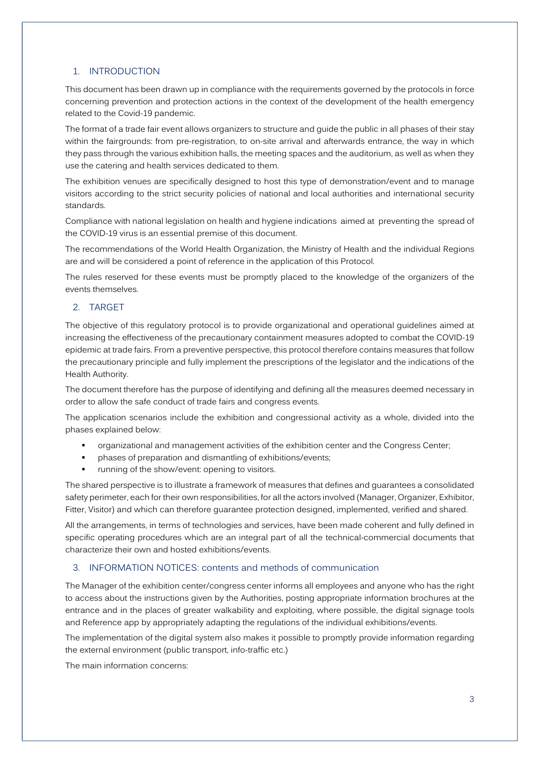## 1. INTRODUCTION

This document has been drawn up in compliance with the requirements governed by the protocols in force concerning prevention and protection actions in the context of the development of the health emergency related to the Covid-19 pandemic.

The format of a trade fair event allows organizers to structure and guide the public in all phases of their stay within the fairgrounds: from pre-registration, to on-site arrival and afterwards entrance, the way in which they pass through the various exhibition halls, the meeting spaces and the auditorium, as well as when they use the catering and health services dedicated to them.

The exhibition venues are specifically designed to host this type of demonstration/event and to manage visitors according to the strict security policies of national and local authorities and international security standards.

Compliance with national legislation on health and hygiene indications aimed at preventing the spread of the COVID-19 virus is an essential premise of this document.

The recommendations of the World Health Organization, the Ministry of Health and the individual Regions are and will be considered a point of reference in the application of this Protocol.

The rules reserved for these events must be promptly placed to the knowledge of the organizers of the events themselves.

## 2. TARGET

The objective of this regulatory protocol is to provide organizational and operational guidelines aimed at increasing the effectiveness of the precautionary containment measures adopted to combat the COVID-19 epidemic at trade fairs. From a preventive perspective, this protocol therefore contains measures that follow the precautionary principle and fully implement the prescriptions of the legislator and the indications of the Health Authority.

The document therefore has the purpose of identifying and defining all the measures deemed necessary in order to allow the safe conduct of trade fairs and congress events.

The application scenarios include the exhibition and congressional activity as a whole, divided into the phases explained below:

- organizational and management activities of the exhibition center and the Congress Center;
- phases of preparation and dismantling of exhibitions/events;
- running of the show/event: opening to visitors.

The shared perspective is to illustrate a framework of measures that defines and guarantees a consolidated safety perimeter, each for their own responsibilities, for all the actors involved (Manager, Organizer, Exhibitor, Fitter, Visitor) and which can therefore guarantee protection designed, implemented, verified and shared.

All the arrangements, in terms of technologies and services, have been made coherent and fully defined in specific operating procedures which are an integral part of all the technical-commercial documents that characterize their own and hosted exhibitions/events.

#### 3. INFORMATION NOTICES: contents and methods of communication

The Manager of the exhibition center/congress center informs all employees and anyone who has the right to access about the instructions given by the Authorities, posting appropriate information brochures at the entrance and in the places of greater walkability and exploiting, where possible, the digital signage tools and Reference app by appropriately adapting the regulations of the individual exhibitions/events.

The implementation of the digital system also makes it possible to promptly provide information regarding the external environment (public transport, info-traffic etc.)

The main information concerns: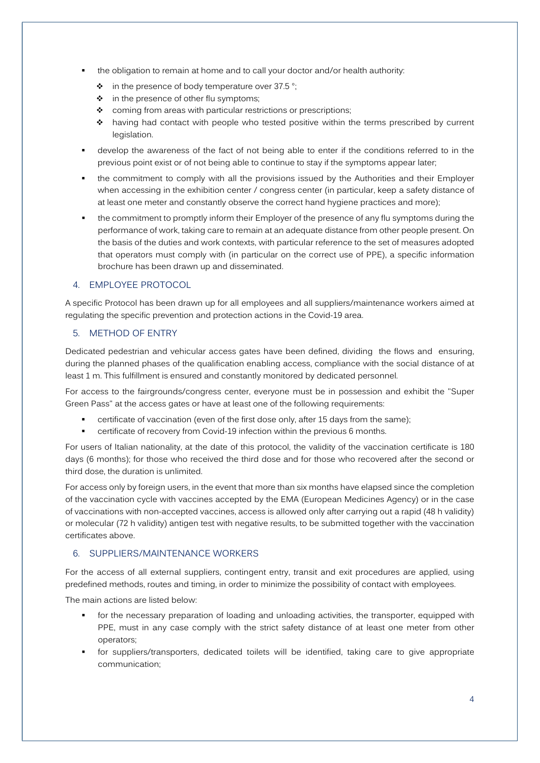- the obligation to remain at home and to call your doctor and/or health authority:
	- $\cdot \cdot$  in the presence of body temperature over 37.5 °;
	- $\div$  in the presence of other flu symptoms;
	- \* coming from areas with particular restrictions or prescriptions;
	- ◆ having had contact with people who tested positive within the terms prescribed by current legislation.
- develop the awareness of the fact of not being able to enter if the conditions referred to in the previous point exist or of not being able to continue to stay if the symptoms appear later;
- the commitment to comply with all the provisions issued by the Authorities and their Employer when accessing in the exhibition center / congress center (in particular, keep a safety distance of at least one meter and constantly observe the correct hand hygiene practices and more);
- the commitment to promptly inform their Employer of the presence of any flu symptoms during the performance of work, taking care to remain at an adequate distance from other people present. On the basis of the duties and work contexts, with particular reference to the set of measures adopted that operators must comply with (in particular on the correct use of PPE), a specific information brochure has been drawn up and disseminated.

## 4. EMPLOYEE PROTOCOL

A specific Protocol has been drawn up for all employees and all suppliers/maintenance workers aimed at regulating the specific prevention and protection actions in the Covid-19 area.

## 5. METHOD OF ENTRY

Dedicated pedestrian and vehicular access gates have been defined, dividing the flows and ensuring, during the planned phases of the qualification enabling access, compliance with the social distance of at least 1 m. This fulfillment is ensured and constantly monitored by dedicated personnel.

For access to the fairgrounds/congress center, everyone must be in possession and exhibit the "Super Green Pass" at the access gates or have at least one of the following requirements:

- certificate of vaccination (even of the first dose only, after 15 days from the same);
- certificate of recovery from Covid-19 infection within the previous 6 months.

For users of Italian nationality, at the date of this protocol, the validity of the vaccination certificate is 180 days (6 months); for those who received the third dose and for those who recovered after the second or third dose, the duration is unlimited.

For access only by foreign users, in the event that more than six months have elapsed since the completion of the vaccination cycle with vaccines accepted by the EMA (European Medicines Agency) or in the case of vaccinations with non-accepted vaccines, access is allowed only after carrying out a rapid (48 h validity) or molecular (72 h validity) antigen test with negative results, to be submitted together with the vaccination certificates above.

## 6. SUPPLIERS/MAINTENANCE WORKERS

For the access of all external suppliers, contingent entry, transit and exit procedures are applied, using predefined methods, routes and timing, in order to minimize the possibility of contact with employees.

The main actions are listed below:

- for the necessary preparation of loading and unloading activities, the transporter, equipped with PPE, must in any case comply with the strict safety distance of at least one meter from other operators;
- for suppliers/transporters, dedicated toilets will be identified, taking care to give appropriate communication;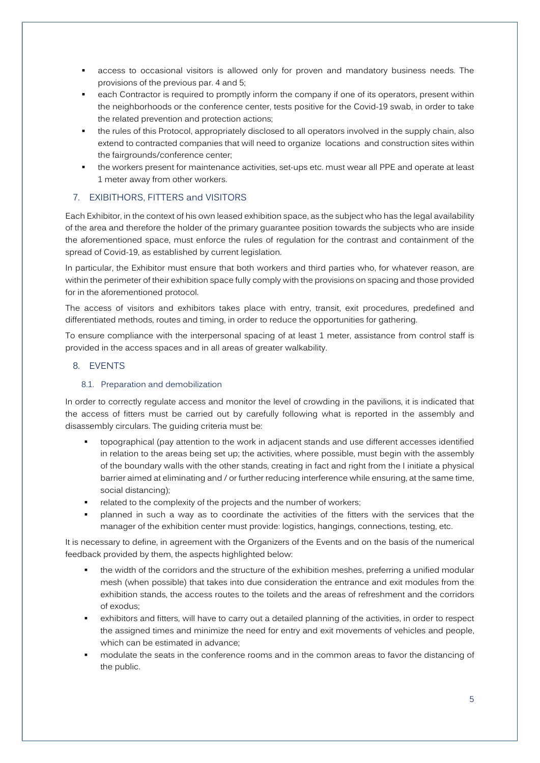- access to occasional visitors is allowed only for proven and mandatory business needs. The provisions of the previous par. 4 and 5;
- **EXECT** each Contractor is required to promptly inform the company if one of its operators, present within the neighborhoods or the conference center, tests positive for the Covid-19 swab, in order to take the related prevention and protection actions;
- the rules of this Protocol, appropriately disclosed to all operators involved in the supply chain, also extend to contracted companies that will need to organize locations and construction sites within the fairgrounds/conference center;
- the workers present for maintenance activities, set-ups etc. must wear all PPE and operate at least 1 meter away from other workers.

## 7. EXIBITHORS, FITTERS and VISITORS

Each Exhibitor, in the context of his own leased exhibition space, as the subject who has the legal availability of the area and therefore the holder of the primary guarantee position towards the subjects who are inside the aforementioned space, must enforce the rules of regulation for the contrast and containment of the spread of Covid-19, as established by current legislation.

In particular, the Exhibitor must ensure that both workers and third parties who, for whatever reason, are within the perimeter of their exhibition space fully comply with the provisions on spacing and those provided for in the aforementioned protocol.

The access of visitors and exhibitors takes place with entry, transit, exit procedures, predefined and differentiated methods, routes and timing, in order to reduce the opportunities for gathering.

To ensure compliance with the interpersonal spacing of at least 1 meter, assistance from control staff is provided in the access spaces and in all areas of greater walkability.

#### 8. EVENTS

#### 8.1. Preparation and demobilization

In order to correctly regulate access and monitor the level of crowding in the pavilions, it is indicated that the access of fitters must be carried out by carefully following what is reported in the assembly and disassembly circulars. The guiding criteria must be:

- topographical (pay attention to the work in adjacent stands and use different accesses identified in relation to the areas being set up; the activities, where possible, must begin with the assembly of the boundary walls with the other stands, creating in fact and right from the I initiate a physical barrier aimed at eliminating and / or further reducing interference while ensuring, at the same time, social distancing);
- related to the complexity of the projects and the number of workers;
- planned in such a way as to coordinate the activities of the fitters with the services that the manager of the exhibition center must provide: logistics, hangings, connections, testing, etc.

It is necessary to define, in agreement with the Organizers of the Events and on the basis of the numerical feedback provided by them, the aspects highlighted below:

- the width of the corridors and the structure of the exhibition meshes, preferring a unified modular mesh (when possible) that takes into due consideration the entrance and exit modules from the exhibition stands, the access routes to the toilets and the areas of refreshment and the corridors of exodus;
- exhibitors and fitters, will have to carry out a detailed planning of the activities, in order to respect the assigned times and minimize the need for entry and exit movements of vehicles and people, which can be estimated in advance;
- modulate the seats in the conference rooms and in the common areas to favor the distancing of the public.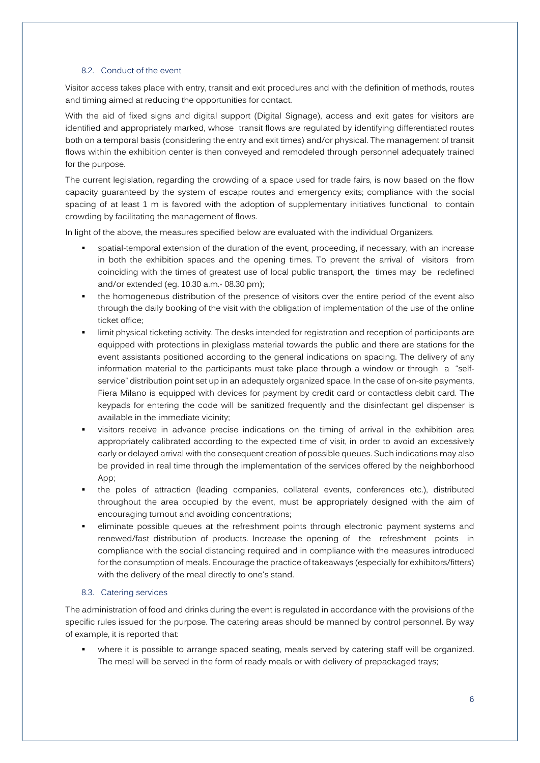#### 8.2. Conduct of the event

Visitor access takes place with entry, transit and exit procedures and with the definition of methods, routes and timing aimed at reducing the opportunities for contact.

With the aid of fixed signs and digital support (Digital Signage), access and exit gates for visitors are identified and appropriately marked, whose transit flows are regulated by identifying differentiated routes both on a temporal basis (considering the entry and exit times) and/or physical. The management of transit flows within the exhibition center is then conveyed and remodeled through personnel adequately trained for the purpose.

The current legislation, regarding the crowding of a space used for trade fairs, is now based on the flow capacity guaranteed by the system of escape routes and emergency exits; compliance with the social spacing of at least 1 m is favored with the adoption of supplementary initiatives functional to contain crowding by facilitating the management of flows.

In light of the above, the measures specified below are evaluated with the individual Organizers.

- spatial-temporal extension of the duration of the event, proceeding, if necessary, with an increase in both the exhibition spaces and the opening times. To prevent the arrival of visitors from coinciding with the times of greatest use of local public transport, the times may be redefined and/or extended (eg. 10.30 a.m.- 08.30 pm);
- the homogeneous distribution of the presence of visitors over the entire period of the event also through the daily booking of the visit with the obligation of implementation of the use of the online ticket office;
- limit physical ticketing activity. The desks intended for registration and reception of participants are equipped with protections in plexiglass material towards the public and there are stations for the event assistants positioned according to the general indications on spacing. The delivery of any information material to the participants must take place through a window or through a "selfservice" distribution point set up in an adequately organized space. In the case of on-site payments, Fiera Milano is equipped with devices for payment by credit card or contactless debit card. The keypads for entering the code will be sanitized frequently and the disinfectant gel dispenser is available in the immediate vicinity;
- visitors receive in advance precise indications on the timing of arrival in the exhibition area appropriately calibrated according to the expected time of visit, in order to avoid an excessively early or delayed arrival with the consequent creation of possible queues. Such indications may also be provided in real time through the implementation of the services offered by the neighborhood App;
- the poles of attraction (leading companies, collateral events, conferences etc.), distributed throughout the area occupied by the event, must be appropriately designed with the aim of encouraging turnout and avoiding concentrations;
- eliminate possible queues at the refreshment points through electronic payment systems and renewed/fast distribution of products. Increase the opening of the refreshment points in compliance with the social distancing required and in compliance with the measures introduced for the consumption of meals. Encourage the practice of takeaways (especially for exhibitors/fitters) with the delivery of the meal directly to one's stand.

#### 8.3. Catering services

The administration of food and drinks during the event is regulated in accordance with the provisions of the specific rules issued for the purpose. The catering areas should be manned by control personnel. By way of example, it is reported that:

 where it is possible to arrange spaced seating, meals served by catering staff will be organized. The meal will be served in the form of ready meals or with delivery of prepackaged trays;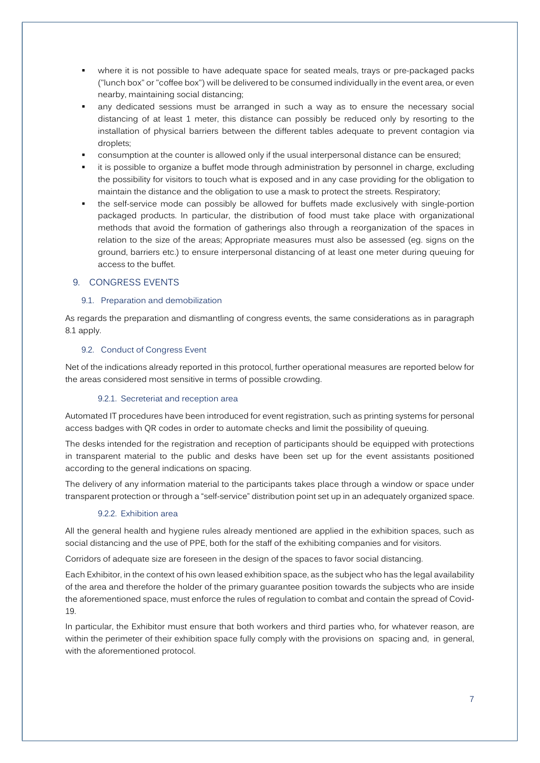- where it is not possible to have adequate space for seated meals, trays or pre-packaged packs ("lunch box" or "coffee box") will be delivered to be consumed individually in the event area, or even nearby, maintaining social distancing;
- any dedicated sessions must be arranged in such a way as to ensure the necessary social distancing of at least 1 meter, this distance can possibly be reduced only by resorting to the installation of physical barriers between the different tables adequate to prevent contagion via droplets;
- consumption at the counter is allowed only if the usual interpersonal distance can be ensured;
- it is possible to organize a buffet mode through administration by personnel in charge, excluding the possibility for visitors to touch what is exposed and in any case providing for the obligation to maintain the distance and the obligation to use a mask to protect the streets. Respiratory;
- the self-service mode can possibly be allowed for buffets made exclusively with single-portion packaged products. In particular, the distribution of food must take place with organizational methods that avoid the formation of gatherings also through a reorganization of the spaces in relation to the size of the areas; Appropriate measures must also be assessed (eg. signs on the ground, barriers etc.) to ensure interpersonal distancing of at least one meter during queuing for access to the buffet.

#### 9. CONGRESS EVENTS

#### 9.1. Preparation and demobilization

As regards the preparation and dismantling of congress events, the same considerations as in paragraph 8.1 apply.

#### 9.2. Conduct of Congress Event

Net of the indications already reported in this protocol, further operational measures are reported below for the areas considered most sensitive in terms of possible crowding.

#### 9.2.1. Secreteriat and reception area

Automated IT procedures have been introduced for event registration, such as printing systems for personal access badges with QR codes in order to automate checks and limit the possibility of queuing.

The desks intended for the registration and reception of participants should be equipped with protections in transparent material to the public and desks have been set up for the event assistants positioned according to the general indications on spacing.

The delivery of any information material to the participants takes place through a window or space under transparent protection or through a "self-service" distribution point set up in an adequately organized space.

#### 9.2.2. Exhibition area

All the general health and hygiene rules already mentioned are applied in the exhibition spaces, such as social distancing and the use of PPE, both for the staff of the exhibiting companies and for visitors.

Corridors of adequate size are foreseen in the design of the spaces to favor social distancing.

Each Exhibitor, in the context of his own leased exhibition space, as the subject who has the legal availability of the area and therefore the holder of the primary guarantee position towards the subjects who are inside the aforementioned space, must enforce the rules of regulation to combat and contain the spread of Covid-19.

In particular, the Exhibitor must ensure that both workers and third parties who, for whatever reason, are within the perimeter of their exhibition space fully comply with the provisions on spacing and, in general, with the aforementioned protocol.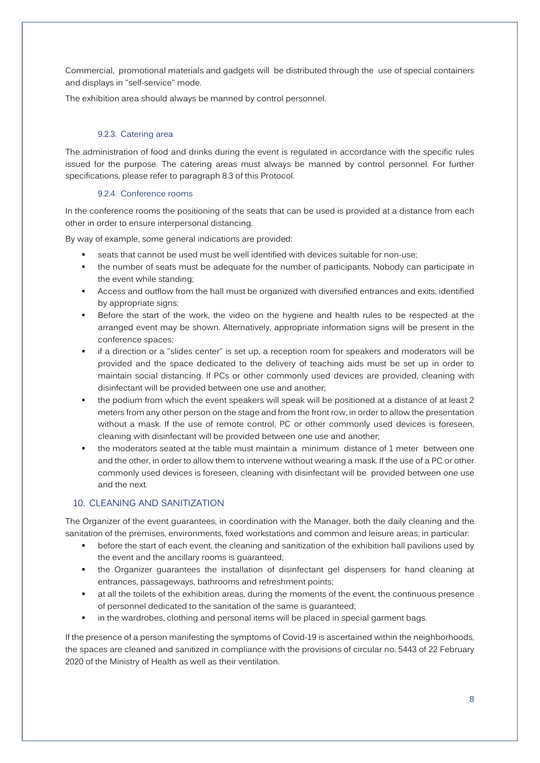Commercial, promotional materials and gadgets will be distributed through the use of special containers and displays in "self-service" mode.

The exhibition area should always be manned by control personnel.

## 9.2.3. Catering area

The administration of food and drinks during the event is regulated in accordance with the specific rules issued for the purpose. The catering areas must always be manned by control personnel. For further specifications, please refer to paragraph 8.3 of this Protocol.

#### 9.2.4. Conference rooms

In the conference rooms the positioning of the seats that can be used is provided at a distance from each other in order to ensure interpersonal distancing.

By way of example, some general indications are provided:

- seats that cannot be used must be well identified with devices suitable for non-use;
- the number of seats must be adequate for the number of participants. Nobody can participate in the event while standing;
- Access and outflow from the hall must be organized with diversified entrances and exits, identified by appropriate signs;
- Before the start of the work, the video on the hygiene and health rules to be respected at the arranged event may be shown. Alternatively, appropriate information signs will be present in the conference spaces;
- if a direction or a "slides center" is set up, a reception room for speakers and moderators will be provided and the space dedicated to the delivery of teaching aids must be set up in order to maintain social distancing. If PCs or other commonly used devices are provided, cleaning with disinfectant will be provided between one use and another;
- the podium from which the event speakers will speak will be positioned at a distance of at least 2 meters from any other person on the stage and from the front row, in order to allow the presentation without a mask. If the use of remote control, PC or other commonly used devices is foreseen, cleaning with disinfectant will be provided between one use and another;
- the moderators seated at the table must maintain a minimum distance of 1 meter between one and the other, in order to allow them to intervene without wearing a mask. If the use of a PC or other commonly used devices is foreseen, cleaning with disinfectant will be provided between one use and the next.

# 10. CLEANING AND SANITIZATION

The Organizer of the event guarantees, in coordination with the Manager, both the daily cleaning and the sanitation of the premises, environments, fixed workstations and common and leisure areas; in particular:

- **•** before the start of each event, the cleaning and sanitization of the exhibition hall pavilions used by the event and the ancillary rooms is guaranteed;
- the Organizer guarantees the installation of disinfectant gel dispensers for hand cleaning at entrances, passageways, bathrooms and refreshment points;
- at all the toilets of the exhibition areas, during the moments of the event, the continuous presence of personnel dedicated to the sanitation of the same is guaranteed;
- in the wardrobes, clothing and personal items will be placed in special garment bags.

If the presence of a person manifesting the symptoms of Covid-19 is ascertained within the neighborhoods, the spaces are cleaned and sanitized in compliance with the provisions of circular no. 5443 of 22 February 2020 of the Ministry of Health as well as their ventilation.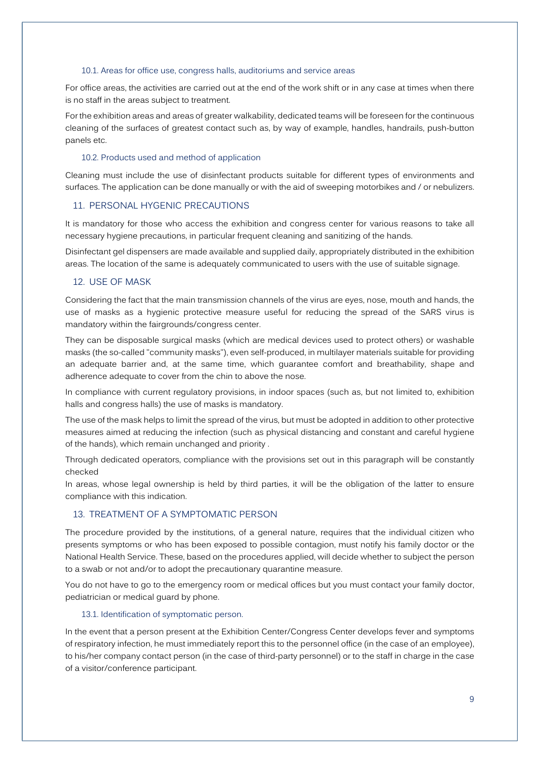#### 10.1. Areas for office use, congress halls, auditoriums and service areas

For office areas, the activities are carried out at the end of the work shift or in any case at times when there is no staff in the areas subject to treatment.

For the exhibition areas and areas of greater walkability, dedicated teams will be foreseen for the continuous cleaning of the surfaces of greatest contact such as, by way of example, handles, handrails, push-button panels etc.

#### 10.2. Products used and method of application

Cleaning must include the use of disinfectant products suitable for different types of environments and surfaces. The application can be done manually or with the aid of sweeping motorbikes and / or nebulizers.

#### 11. PERSONAL HYGENIC PRECAUTIONS

It is mandatory for those who access the exhibition and congress center for various reasons to take all necessary hygiene precautions, in particular frequent cleaning and sanitizing of the hands.

Disinfectant gel dispensers are made available and supplied daily, appropriately distributed in the exhibition areas. The location of the same is adequately communicated to users with the use of suitable signage.

#### 12. USE OF MASK

Considering the fact that the main transmission channels of the virus are eyes, nose, mouth and hands, the use of masks as a hygienic protective measure useful for reducing the spread of the SARS virus is mandatory within the fairgrounds/congress center.

They can be disposable surgical masks (which are medical devices used to protect others) or washable masks (the so-called "community masks"), even self-produced, in multilayer materials suitable for providing an adequate barrier and, at the same time, which guarantee comfort and breathability, shape and adherence adequate to cover from the chin to above the nose.

In compliance with current regulatory provisions, in indoor spaces (such as, but not limited to, exhibition halls and congress halls) the use of masks is mandatory.

The use of the mask helps to limit the spread of the virus, but must be adopted in addition to other protective measures aimed at reducing the infection (such as physical distancing and constant and careful hygiene of the hands), which remain unchanged and priority .

Through dedicated operators, compliance with the provisions set out in this paragraph will be constantly checked

In areas, whose legal ownership is held by third parties, it will be the obligation of the latter to ensure compliance with this indication.

## 13. TREATMENT OF A SYMPTOMATIC PERSON

The procedure provided by the institutions, of a general nature, requires that the individual citizen who presents symptoms or who has been exposed to possible contagion, must notify his family doctor or the National Health Service. These, based on the procedures applied, will decide whether to subject the person to a swab or not and/or to adopt the precautionary quarantine measure.

You do not have to go to the emergency room or medical offices but you must contact your family doctor, pediatrician or medical guard by phone.

#### 13.1. Identification of symptomatic person.

In the event that a person present at the Exhibition Center/Congress Center develops fever and symptoms of respiratory infection, he must immediately report this to the personnel office (in the case of an employee), to his/her company contact person (in the case of third-party personnel) or to the staff in charge in the case of a visitor/conference participant.